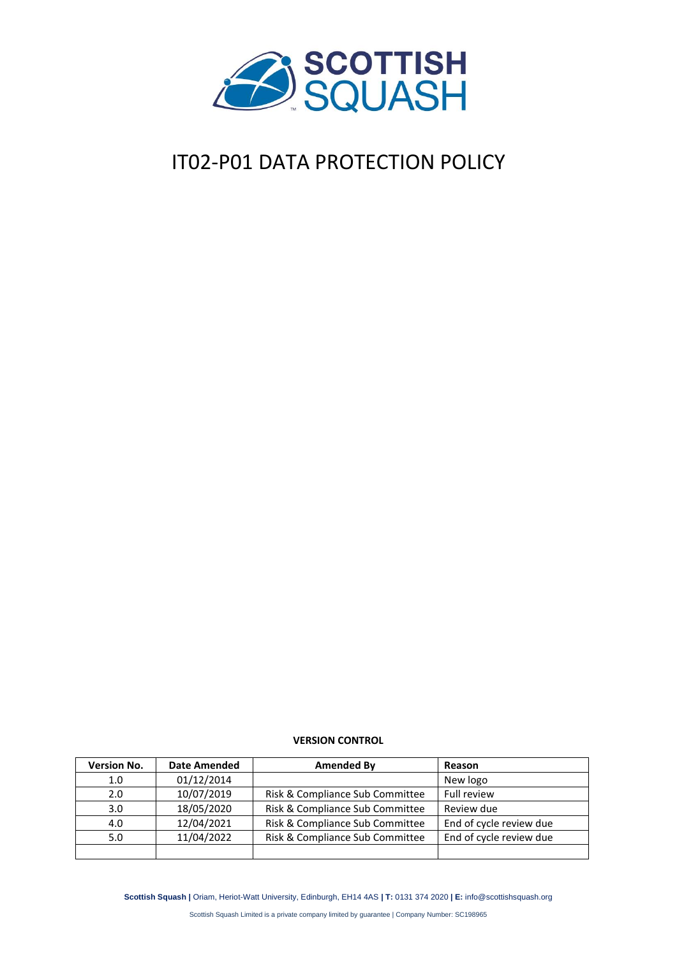

# IT02-P01 DATA PROTECTION POLICY

#### **VERSION CONTROL**

| <b>Version No.</b> | <b>Date Amended</b> | Amended By                      | Reason                  |
|--------------------|---------------------|---------------------------------|-------------------------|
| 1.0                | 01/12/2014          |                                 | New logo                |
| 2.0                | 10/07/2019          | Risk & Compliance Sub Committee | <b>Full review</b>      |
| 3.0 <sub>2</sub>   | 18/05/2020          | Risk & Compliance Sub Committee | Review due              |
| 4.0                | 12/04/2021          | Risk & Compliance Sub Committee | End of cycle review due |
| 5.0                | 11/04/2022          | Risk & Compliance Sub Committee | End of cycle review due |
|                    |                     |                                 |                         |

**Scottish Squash |** Oriam, Heriot-Watt University, Edinburgh, EH14 4AS **| T:** 0131 374 2020 **| E:** info@scottishsquash.org

Scottish Squash Limited is a private company limited by guarantee | Company Number: SC198965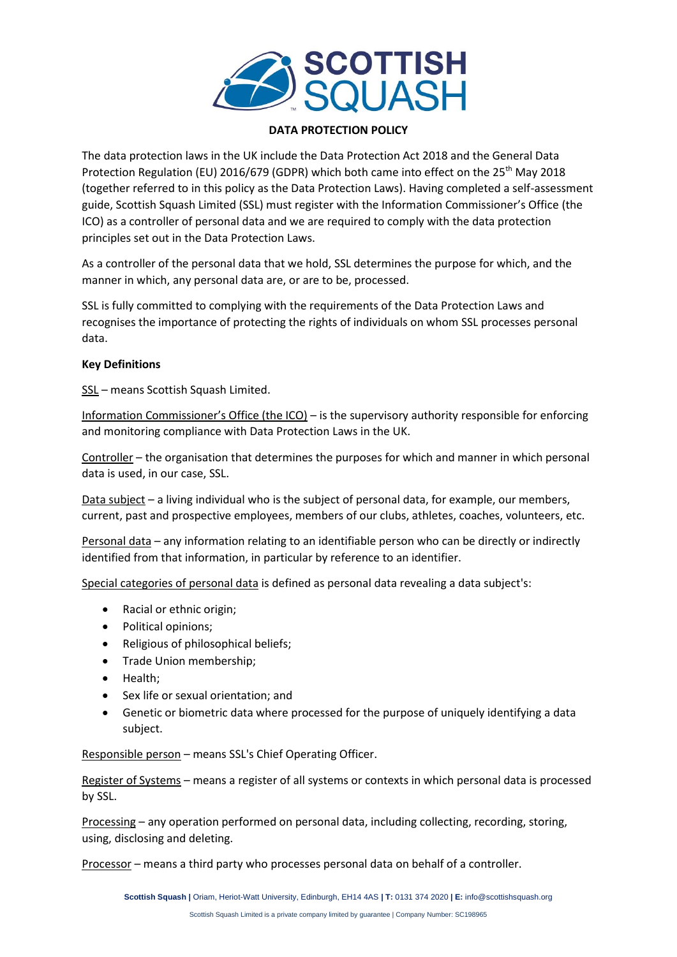

## **DATA PROTECTION POLICY**

The data protection laws in the UK include the Data Protection Act 2018 and the General Data Protection Regulation (EU) 2016/679 (GDPR) which both came into effect on the 25<sup>th</sup> May 2018 (together referred to in this policy as the Data Protection Laws). Having completed a self-assessment guide, Scottish Squash Limited (SSL) must register with the Information Commissioner's Office (the ICO) as a controller of personal data and we are required to comply with the data protection principles set out in the Data Protection Laws.

As a controller of the personal data that we hold, SSL determines the purpose for which, and the manner in which, any personal data are, or are to be, processed.

SSL is fully committed to complying with the requirements of the Data Protection Laws and recognises the importance of protecting the rights of individuals on whom SSL processes personal data.

#### **Key Definitions**

SSL – means Scottish Squash Limited.

Information Commissioner's Office (the ICO) – is the supervisory authority responsible for enforcing and monitoring compliance with Data Protection Laws in the UK.

Controller – the organisation that determines the purposes for which and manner in which personal data is used, in our case, SSL.

Data subject - a living individual who is the subject of personal data, for example, our members, current, past and prospective employees, members of our clubs, athletes, coaches, volunteers, etc.

Personal data – any information relating to an identifiable person who can be directly or indirectly identified from that information, in particular by reference to an identifier.

Special categories of personal data is defined as personal data revealing a data subject's:

- Racial or ethnic origin;
- Political opinions;
- Religious of philosophical beliefs;
- Trade Union membership;
- Health;
- Sex life or sexual orientation; and
- Genetic or biometric data where processed for the purpose of uniquely identifying a data subject.

Responsible person – means SSL's Chief Operating Officer.

Register of Systems – means a register of all systems or contexts in which personal data is processed by SSL.

Processing – any operation performed on personal data, including collecting, recording, storing, using, disclosing and deleting.

Processor – means a third party who processes personal data on behalf of a controller.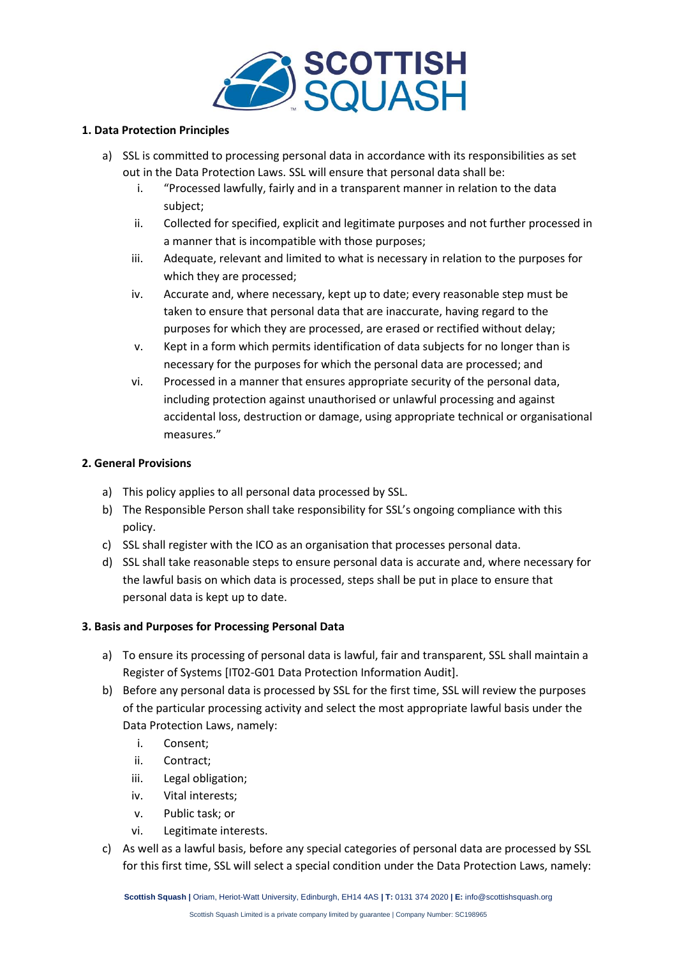

## **1. Data Protection Principles**

- a) SSL is committed to processing personal data in accordance with its responsibilities as set out in the Data Protection Laws. SSL will ensure that personal data shall be:
	- i. "Processed lawfully, fairly and in a transparent manner in relation to the data subject;
	- ii. Collected for specified, explicit and legitimate purposes and not further processed in a manner that is incompatible with those purposes;
	- iii. Adequate, relevant and limited to what is necessary in relation to the purposes for which they are processed;
	- iv. Accurate and, where necessary, kept up to date; every reasonable step must be taken to ensure that personal data that are inaccurate, having regard to the purposes for which they are processed, are erased or rectified without delay;
	- v. Kept in a form which permits identification of data subjects for no longer than is necessary for the purposes for which the personal data are processed; and
	- vi. Processed in a manner that ensures appropriate security of the personal data, including protection against unauthorised or unlawful processing and against accidental loss, destruction or damage, using appropriate technical or organisational measures."

## **2. General Provisions**

- a) This policy applies to all personal data processed by SSL.
- b) The Responsible Person shall take responsibility for SSL's ongoing compliance with this policy.
- c) SSL shall register with the ICO as an organisation that processes personal data.
- d) SSL shall take reasonable steps to ensure personal data is accurate and, where necessary for the lawful basis on which data is processed, steps shall be put in place to ensure that personal data is kept up to date.

## **3. Basis and Purposes for Processing Personal Data**

- a) To ensure its processing of personal data is lawful, fair and transparent, SSL shall maintain a Register of Systems [IT02-G01 Data Protection Information Audit].
- b) Before any personal data is processed by SSL for the first time, SSL will review the purposes of the particular processing activity and select the most appropriate lawful basis under the Data Protection Laws, namely:
	- i. Consent;
	- ii. Contract;
	- iii. Legal obligation;
	- iv. Vital interests;
	- v. Public task; or
	- vi. Legitimate interests.
- c) As well as a lawful basis, before any special categories of personal data are processed by SSL for this first time, SSL will select a special condition under the Data Protection Laws, namely: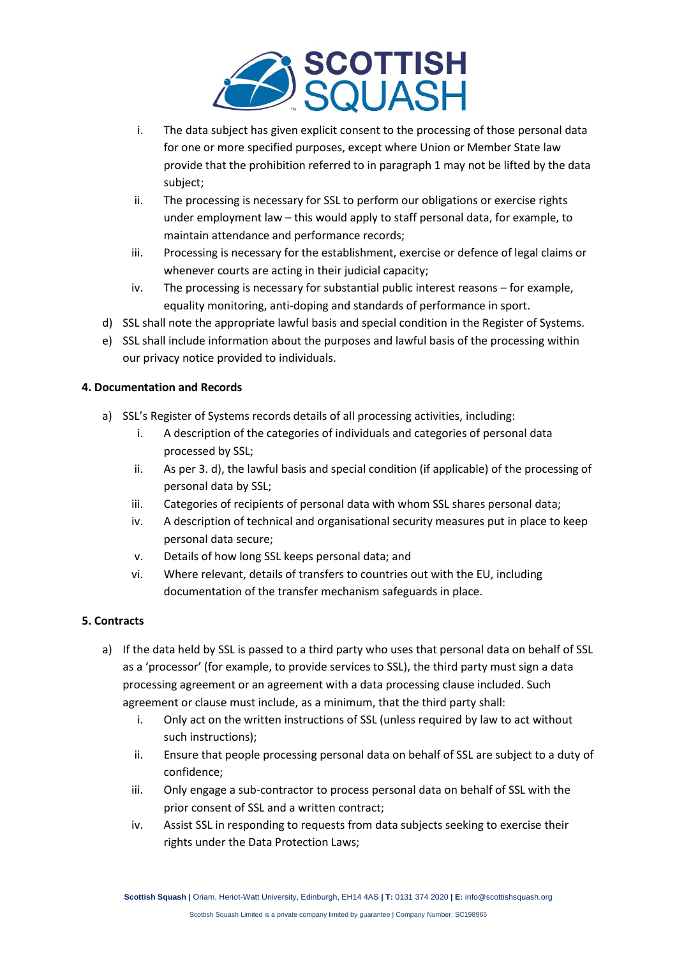

- i. The data subject has given explicit consent to the processing of those personal data for one or more specified purposes, except where Union or Member State law provide that the prohibition referred to in paragraph 1 may not be lifted by the data subject;
- ii. The processing is necessary for SSL to perform our obligations or exercise rights under employment law – this would apply to staff personal data, for example, to maintain attendance and performance records;
- iii. Processing is necessary for the establishment, exercise or defence of legal claims or whenever courts are acting in their judicial capacity;
- iv. The processing is necessary for substantial public interest reasons for example, equality monitoring, anti-doping and standards of performance in sport.
- d) SSL shall note the appropriate lawful basis and special condition in the Register of Systems.
- e) SSL shall include information about the purposes and lawful basis of the processing within our privacy notice provided to individuals.

## **4. Documentation and Records**

- a) SSL's Register of Systems records details of all processing activities, including:
	- i. A description of the categories of individuals and categories of personal data processed by SSL;
	- ii. As per 3. d), the lawful basis and special condition (if applicable) of the processing of personal data by SSL;
	- iii. Categories of recipients of personal data with whom SSL shares personal data;
	- iv. A description of technical and organisational security measures put in place to keep personal data secure;
	- v. Details of how long SSL keeps personal data; and
	- vi. Where relevant, details of transfers to countries out with the EU, including documentation of the transfer mechanism safeguards in place.

## **5. Contracts**

- a) If the data held by SSL is passed to a third party who uses that personal data on behalf of SSL as a 'processor' (for example, to provide services to SSL), the third party must sign a data processing agreement or an agreement with a data processing clause included. Such agreement or clause must include, as a minimum, that the third party shall:
	- i. Only act on the written instructions of SSL (unless required by law to act without such instructions);
	- ii. Ensure that people processing personal data on behalf of SSL are subject to a duty of confidence;
	- iii. Only engage a sub-contractor to process personal data on behalf of SSL with the prior consent of SSL and a written contract;
	- iv. Assist SSL in responding to requests from data subjects seeking to exercise their rights under the Data Protection Laws;

**Scottish Squash |** Oriam, Heriot-Watt University, Edinburgh, EH14 4AS **| T:** 0131 374 2020 **| E:** info@scottishsquash.org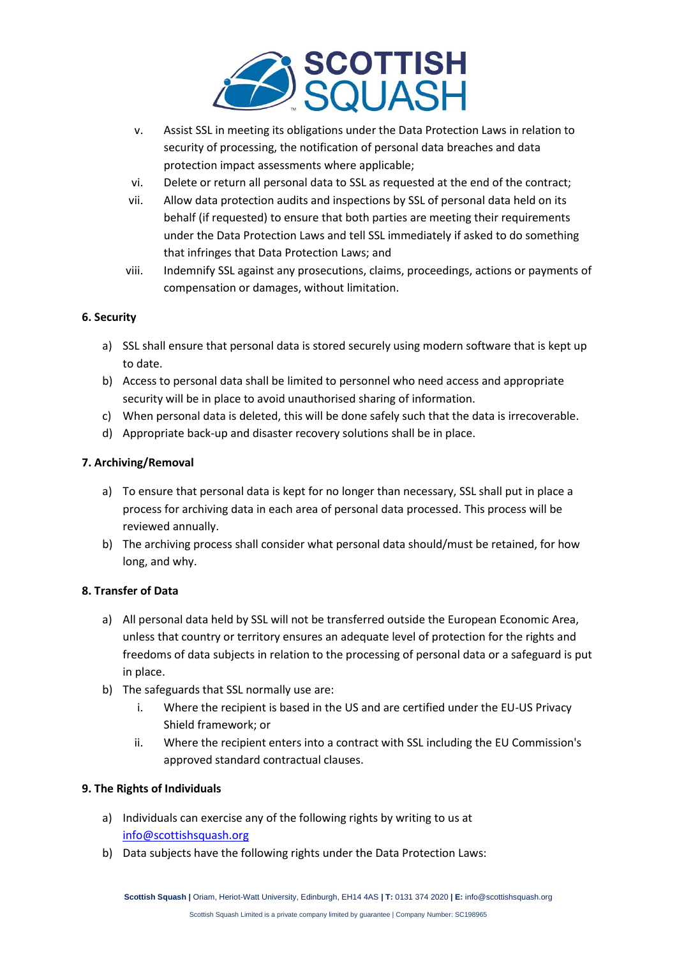

- v. Assist SSL in meeting its obligations under the Data Protection Laws in relation to security of processing, the notification of personal data breaches and data protection impact assessments where applicable;
- vi. Delete or return all personal data to SSL as requested at the end of the contract;
- vii. Allow data protection audits and inspections by SSL of personal data held on its behalf (if requested) to ensure that both parties are meeting their requirements under the Data Protection Laws and tell SSL immediately if asked to do something that infringes that Data Protection Laws; and
- viii. Indemnify SSL against any prosecutions, claims, proceedings, actions or payments of compensation or damages, without limitation.

## **6. Security**

- a) SSL shall ensure that personal data is stored securely using modern software that is kept up to date.
- b) Access to personal data shall be limited to personnel who need access and appropriate security will be in place to avoid unauthorised sharing of information.
- c) When personal data is deleted, this will be done safely such that the data is irrecoverable.
- d) Appropriate back-up and disaster recovery solutions shall be in place.

## **7. Archiving/Removal**

- a) To ensure that personal data is kept for no longer than necessary, SSL shall put in place a process for archiving data in each area of personal data processed. This process will be reviewed annually.
- b) The archiving process shall consider what personal data should/must be retained, for how long, and why.

#### **8. Transfer of Data**

- a) All personal data held by SSL will not be transferred outside the European Economic Area, unless that country or territory ensures an adequate level of protection for the rights and freedoms of data subjects in relation to the processing of personal data or a safeguard is put in place.
- b) The safeguards that SSL normally use are:
	- i. Where the recipient is based in the US and are certified under the EU-US Privacy Shield framework; or
	- ii. Where the recipient enters into a contract with SSL including the EU Commission's approved standard contractual clauses.

## **9. The Rights of Individuals**

- a) Individuals can exercise any of the following rights by writing to us at [info@scottishsquash.org](mailto:info@scottishsquash.org)
- b) Data subjects have the following rights under the Data Protection Laws: